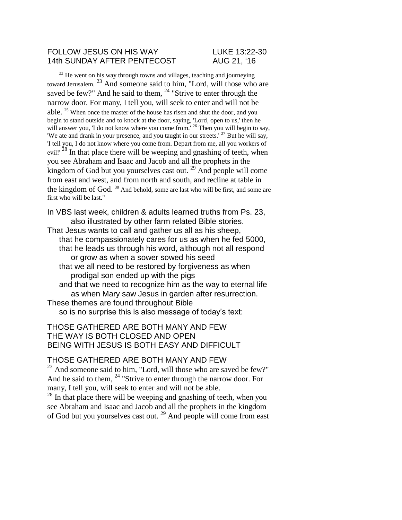#### FOLLOW JESUS ON HIS WAY LUKE 13:22-30 14th SUNDAY AFTER PENTECOST AUG 21. '16

 $22$  He went on his way through towns and villages, teaching and journeying toward Jerusalem. <sup>23</sup> And someone said to him, "Lord, will those who are saved be few?" And he said to them,  $^{24}$  "Strive to enter through the narrow door. For many, I tell you, will seek to enter and will not be able. <sup>25</sup> When once the master of the house has risen and shut the door, and you begin to stand outside and to knock at the door, saying, 'Lord, open to us,' then he will answer you, 'I do not know where you come from.' <sup>26</sup> Then you will begin to say, 'We ate and drank in your presence, and you taught in our streets.'  $27$  But he will say, 'I tell you, I do not know where you come from. Depart from me, all you workers of evil!' <sup>28</sup> In that place there will be weeping and gnashing of teeth, when you see Abraham and Isaac and Jacob and all the prophets in the kingdom of God but you yourselves cast out.  $^{29}$  And people will come from east and west, and from north and south, and recline at table in the kingdom of God. <sup>30</sup> And behold, some are last who will be first, and some are first who will be last."

In VBS last week, children & adults learned truths from Ps. 23, also illustrated by other farm related Bible stories. That Jesus wants to call and gather us all as his sheep, that he compassionately cares for us as when he fed 5000, that he leads us through his word, although not all respond or grow as when a sower sowed his seed that we all need to be restored by forgiveness as when prodigal son ended up with the pigs and that we need to recognize him as the way to eternal life as when Mary saw Jesus in garden after resurrection. These themes are found throughout Bible so is no surprise this is also message of today's text:

### THOSE GATHERED ARE BOTH MANY AND FEW THE WAY IS BOTH CLOSED AND OPEN BEING WITH JESUS IS BOTH EASY AND DIFFICULT

#### THOSE GATHERED ARE BOTH MANY AND FEW

<sup>23</sup> And someone said to him, "Lord, will those who are saved be few?" And he said to them, <sup>24</sup> "Strive to enter through the narrow door. For many, I tell you, will seek to enter and will not be able.

 $28$  In that place there will be weeping and gnashing of teeth, when you see Abraham and Isaac and Jacob and all the prophets in the kingdom of God but you yourselves cast out. <sup>29</sup> And people will come from east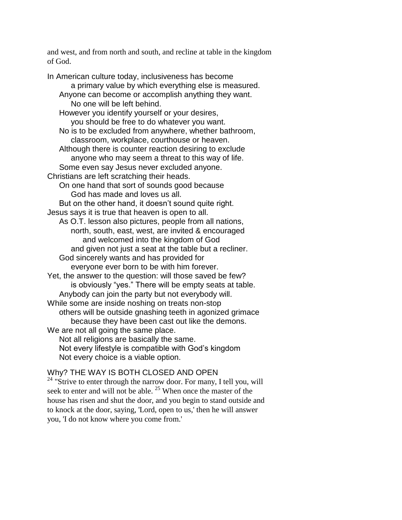and west, and from north and south, and recline at table in the kingdom of God.

In American culture today, inclusiveness has become a primary value by which everything else is measured. Anyone can become or accomplish anything they want. No one will be left behind. However you identify yourself or your desires, you should be free to do whatever you want. No is to be excluded from anywhere, whether bathroom, classroom, workplace, courthouse or heaven. Although there is counter reaction desiring to exclude anyone who may seem a threat to this way of life. Some even say Jesus never excluded anyone. Christians are left scratching their heads. On one hand that sort of sounds good because God has made and loves us all. But on the other hand, it doesn't sound quite right. Jesus says it is true that heaven is open to all. As O.T. lesson also pictures, people from all nations, north, south, east, west, are invited & encouraged and welcomed into the kingdom of God and given not just a seat at the table but a recliner. God sincerely wants and has provided for everyone ever born to be with him forever. Yet, the answer to the question: will those saved be few? is obviously "yes." There will be empty seats at table. Anybody can join the party but not everybody will. While some are inside noshing on treats non-stop others will be outside gnashing teeth in agonized grimace because they have been cast out like the demons. We are not all going the same place. Not all religions are basically the same. Not every lifestyle is compatible with God's kingdom Not every choice is a viable option.

# Why? THE WAY IS BOTH CLOSED AND OPEN

<sup>24</sup> "Strive to enter through the narrow door. For many, I tell you, will seek to enter and will not be able.  $25$  When once the master of the house has risen and shut the door, and you begin to stand outside and to knock at the door, saying, 'Lord, open to us,' then he will answer you, 'I do not know where you come from.'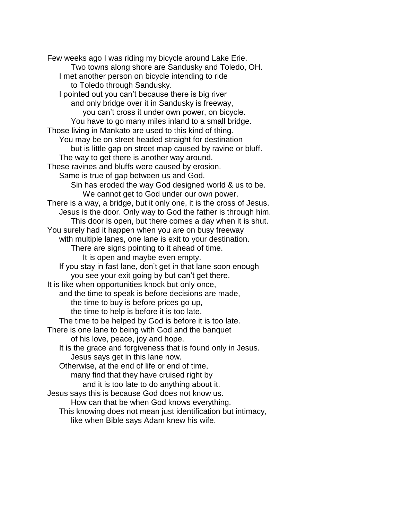Few weeks ago I was riding my bicycle around Lake Erie. Two towns along shore are Sandusky and Toledo, OH. I met another person on bicycle intending to ride to Toledo through Sandusky. I pointed out you can't because there is big river and only bridge over it in Sandusky is freeway, you can't cross it under own power, on bicycle. You have to go many miles inland to a small bridge. Those living in Mankato are used to this kind of thing. You may be on street headed straight for destination but is little gap on street map caused by ravine or bluff. The way to get there is another way around. These ravines and bluffs were caused by erosion. Same is true of gap between us and God. Sin has eroded the way God designed world & us to be. We cannot get to God under our own power. There is a way, a bridge, but it only one, it is the cross of Jesus. Jesus is the door. Only way to God the father is through him. This door is open, but there comes a day when it is shut. You surely had it happen when you are on busy freeway with multiple lanes, one lane is exit to your destination. There are signs pointing to it ahead of time. It is open and maybe even empty. If you stay in fast lane, don't get in that lane soon enough you see your exit going by but can't get there. It is like when opportunities knock but only once, and the time to speak is before decisions are made, the time to buy is before prices go up, the time to help is before it is too late. The time to be helped by God is before it is too late. There is one lane to being with God and the banquet of his love, peace, joy and hope. It is the grace and forgiveness that is found only in Jesus. Jesus says get in this lane now. Otherwise, at the end of life or end of time, many find that they have cruised right by and it is too late to do anything about it. Jesus says this is because God does not know us. How can that be when God knows everything. This knowing does not mean just identification but intimacy, like when Bible says Adam knew his wife.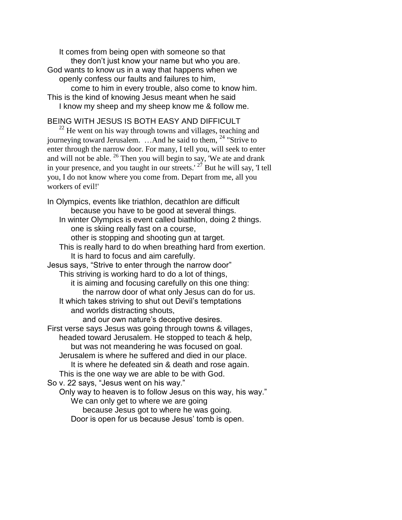It comes from being open with someone so that they don't just know your name but who you are. God wants to know us in a way that happens when we openly confess our faults and failures to him, come to him in every trouble, also come to know him. This is the kind of knowing Jesus meant when he said I know my sheep and my sheep know me & follow me.

# BEING WITH JESUS IS BOTH EASY AND DIFFICULT

 $^{22}$  He went on his way through towns and villages, teaching and journeying toward Jerusalem. …And he said to them, <sup>24</sup> "Strive to enter through the narrow door. For many, I tell you, will seek to enter and will not be able.  $^{26}$  Then you will begin to say, 'We ate and drank in your presence, and you taught in our streets.'  $27$  But he will say, 'I tell you, I do not know where you come from. Depart from me, all you workers of evil!'

In Olympics, events like triathlon, decathlon are difficult because you have to be good at several things. In winter Olympics is event called biathlon, doing 2 things. one is skiing really fast on a course, other is stopping and shooting gun at target. This is really hard to do when breathing hard from exertion. It is hard to focus and aim carefully. Jesus says, "Strive to enter through the narrow door" This striving is working hard to do a lot of things, it is aiming and focusing carefully on this one thing: the narrow door of what only Jesus can do for us. It which takes striving to shut out Devil's temptations and worlds distracting shouts, and our own nature's deceptive desires. First verse says Jesus was going through towns & villages, headed toward Jerusalem. He stopped to teach & help, but was not meandering he was focused on goal. Jerusalem is where he suffered and died in our place. It is where he defeated sin & death and rose again. This is the one way we are able to be with God. So v. 22 says, "Jesus went on his way." Only way to heaven is to follow Jesus on this way, his way." We can only get to where we are going because Jesus got to where he was going. Door is open for us because Jesus' tomb is open.